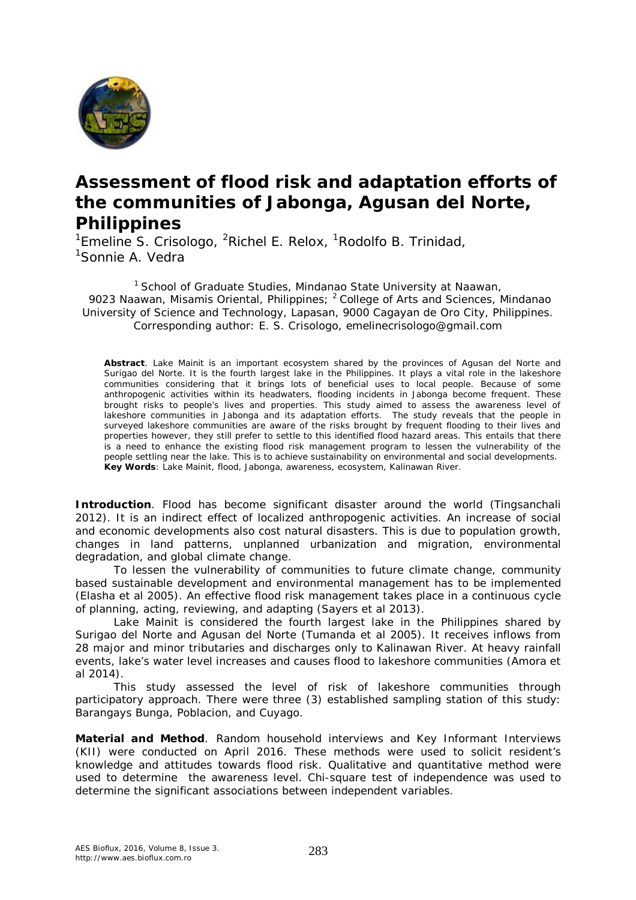

## **Assessment of flood risk and adaptation efforts of the communities of Jabonga, Agusan del Norte, Philippines**

 $1$ Emeline S. Crisologo,  $2R$ ichel E. Relox,  $1R$ odolfo B. Trinidad, <sup>1</sup>Sonnie A. Vedra

<sup>1</sup> School of Graduate Studies, Mindanao State University at Naawan, 9023 Naawan, Misamis Oriental, Philippines; <sup>2</sup> College of Arts and Sciences, Mindanao University of Science and Technology, Lapasan, 9000 Cagayan de Oro City, Philippines. Corresponding author: E. S. Crisologo, emelinecrisologo@gmail.com

**Abstract**. Lake Mainit is an important ecosystem shared by the provinces of Agusan del Norte and Surigao del Norte. It is the fourth largest lake in the Philippines. It plays a vital role in the lakeshore communities considering that it brings lots of beneficial uses to local people. Because of some anthropogenic activities within its headwaters, flooding incidents in Jabonga become frequent. These brought risks to people's lives and properties. This study aimed to assess the awareness level of lakeshore communities in Jabonga and its adaptation efforts. The study reveals that the people in surveyed lakeshore communities are aware of the risks brought by frequent flooding to their lives and properties however, they still prefer to settle to this identified flood hazard areas. This entails that there is a need to enhance the existing flood risk management program to lessen the vulnerability of the people settling near the lake. This is to achieve sustainability on environmental and social developments. **Key Words**: Lake Mainit, flood, Jabonga, awareness, ecosystem, Kalinawan River.

**Introduction**. Flood has become significant disaster around the world (Tingsanchali 2012). It is an indirect effect of localized anthropogenic activities. An increase of social and economic developments also cost natural disasters. This is due to population growth, changes in land patterns, unplanned urbanization and migration, environmental degradation, and global climate change.

To lessen the vulnerability of communities to future climate change, community based sustainable development and environmental management has to be implemented (Elasha et al 2005). An effective flood risk management takes place in a continuous cycle of planning, acting, reviewing, and adapting (Sayers et al 2013).

Lake Mainit is considered the fourth largest lake in the Philippines shared by Surigao del Norte and Agusan del Norte (Tumanda et al 2005). It receives inflows from 28 major and minor tributaries and discharges only to Kalinawan River. At heavy rainfall events, lake's water level increases and causes flood to lakeshore communities (Amora et al 2014).

This study assessed the level of risk of lakeshore communities through participatory approach. There were three (3) established sampling station of this study: Barangays Bunga, Poblacion, and Cuyago.

**Material and Method**. Random household interviews and Key Informant Interviews (KII) were conducted on April 2016. These methods were used to solicit resident's knowledge and attitudes towards flood risk. Qualitative and quantitative method were used to determine the awareness level. Chi-square test of independence was used to determine the significant associations between independent variables.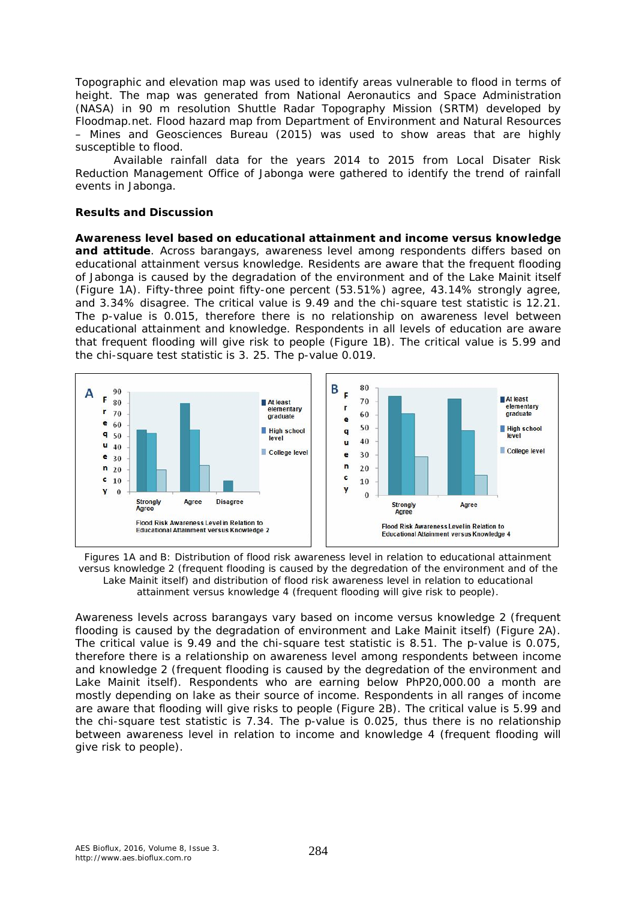Topographic and elevation map was used to identify areas vulnerable to flood in terms of height. The map was generated from National Aeronautics and Space Administration (NASA) in 90 m resolution Shuttle Radar Topography Mission (SRTM) developed by Floodmap.net. Flood hazard map from Department of Environment and Natural Resources – Mines and Geosciences Bureau (2015) was used to show areas that are highly susceptible to flood.

Available rainfall data for the years 2014 to 2015 from Local Disater Risk Reduction Management Office of Jabonga were gathered to identify the trend of rainfall events in Jabonga.

## **Results and Discussion**

*Awareness level based on educational attainment and income versus knowledge and attitude.* Across barangays, awareness level among respondents differs based on educational attainment versus knowledge. Residents are aware that the frequent flooding of Jabonga is caused by the degradation of the environment and of the Lake Mainit itself (Figure 1A). Fifty-three point fifty-one percent (53.51%) agree, 43.14% strongly agree, and 3.34% disagree. The critical value is 9.49 and the chi-square test statistic is 12.21. The p-value is 0.015, therefore there is no relationship on awareness level between educational attainment and knowledge. Respondents in all levels of education are aware that frequent flooding will give risk to people (Figure 1B). The critical value is 5.99 and the chi-square test statistic is 3. 25. The p-value 0.019.





Awareness levels across barangays vary based on income versus knowledge 2 (frequent flooding is caused by the degradation of environment and Lake Mainit itself) (Figure 2A). The critical value is 9.49 and the chi-square test statistic is 8.51. The p-value is 0.075, therefore there is a relationship on awareness level among respondents between income and knowledge 2 (frequent flooding is caused by the degredation of the environment and Lake Mainit itself). Respondents who are earning below PhP20,000.00 a month are mostly depending on lake as their source of income. Respondents in all ranges of income are aware that flooding will give risks to people (Figure 2B). The critical value is 5.99 and the chi-square test statistic is 7.34. The p-value is 0.025, thus there is no relationship between awareness level in relation to income and knowledge 4 (frequent flooding will give risk to people).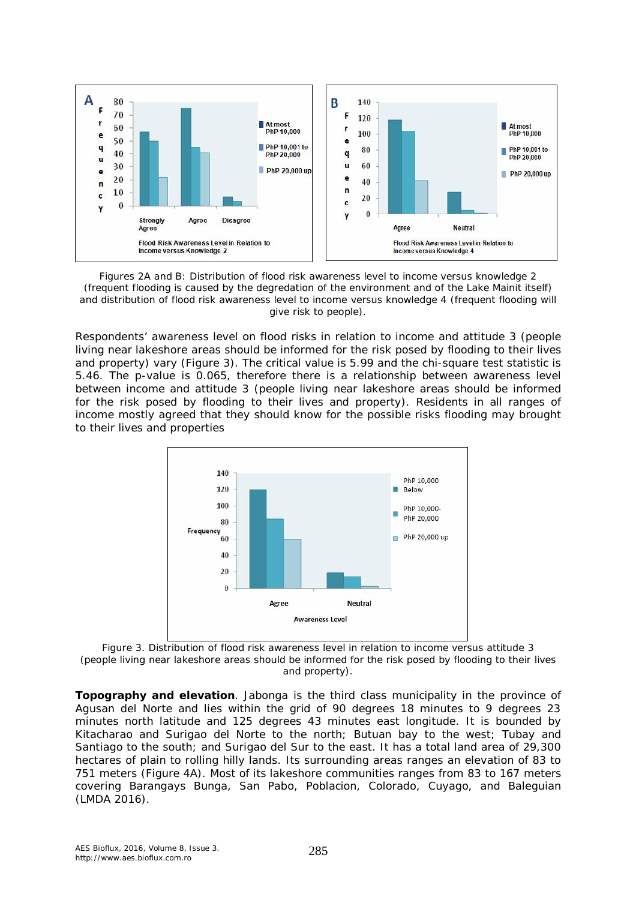

Figures 2A and B: Distribution of flood risk awareness level to income versus knowledge 2 (frequent flooding is caused by the degredation of the environment and of the Lake Mainit itself) and distribution of flood risk awareness level to income versus knowledge 4 (frequent flooding will give risk to people).

Respondents' awareness level on flood risks in relation to income and attitude 3 (people living near lakeshore areas should be informed for the risk posed by flooding to their lives and property) vary (Figure 3). The critical value is 5.99 and the chi-square test statistic is 5.46. The p-value is 0.065, therefore there is a relationship between awareness level between income and attitude 3 (people living near lakeshore areas should be informed for the risk posed by flooding to their lives and property). Residents in all ranges of income mostly agreed that they should know for the possible risks flooding may brought to their lives and properties



Figure 3. Distribution of flood risk awareness level in relation to income versus attitude 3 (people living near lakeshore areas should be informed for the risk posed by flooding to their lives and property).

**Topography and elevation**. Jabonga is the third class municipality in the province of Agusan del Norte and lies within the grid of 90 degrees 18 minutes to 9 degrees 23 minutes north latitude and 125 degrees 43 minutes east longitude. It is bounded by Kitacharao and Surigao del Norte to the north; Butuan bay to the west; Tubay and Santiago to the south; and Surigao del Sur to the east. It has a total land area of 29,300 hectares of plain to rolling hilly lands. Its surrounding areas ranges an elevation of 83 to 751 meters (Figure 4A). Most of its lakeshore communities ranges from 83 to 167 meters covering Barangays Bunga, San Pabo, Poblacion, Colorado, Cuyago, and Baleguian (LMDA 2016).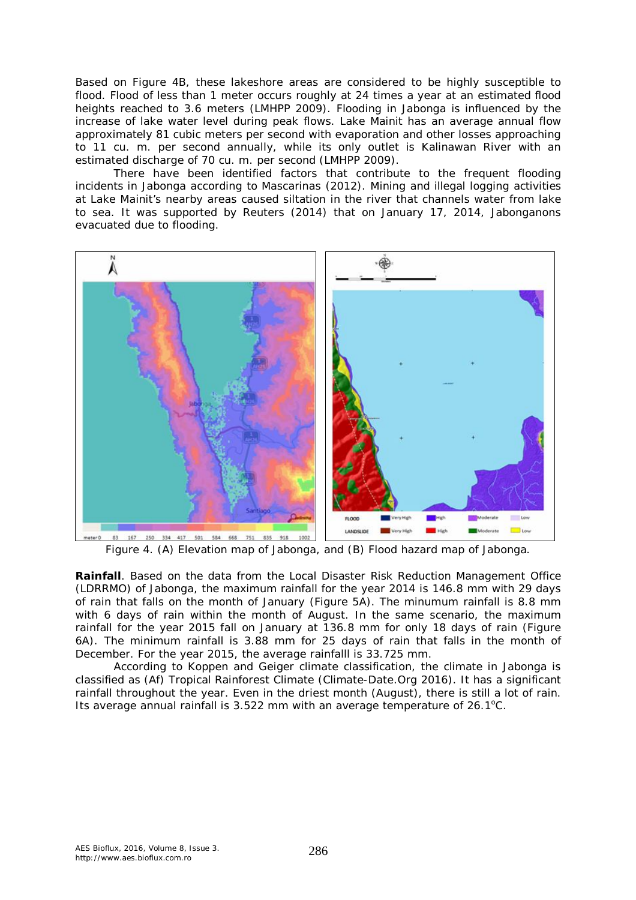Based on Figure 4B, these lakeshore areas are considered to be highly susceptible to flood. Flood of less than 1 meter occurs roughly at 24 times a year at an estimated flood heights reached to 3.6 meters (LMHPP 2009). Flooding in Jabonga is influenced by the increase of lake water level during peak flows. Lake Mainit has an average annual flow approximately 81 cubic meters per second with evaporation and other losses approaching to 11 cu. m. per second annually, while its only outlet is Kalinawan River with an estimated discharge of 70 cu. m. per second (LMHPP 2009).

There have been identified factors that contribute to the frequent flooding incidents in Jabonga according to Mascarinas (2012). Mining and illegal logging activities at Lake Mainit's nearby areas caused siltation in the river that channels water from lake to sea. It was supported by Reuters (2014) that on January 17, 2014, Jabonganons evacuated due to flooding.



Figure 4. (A) Elevation map of Jabonga, and (B) Flood hazard map of Jabonga.

*Rainfall.* Based on the data from the Local Disaster Risk Reduction Management Office (LDRRMO) of Jabonga, the maximum rainfall for the year 2014 is 146.8 mm with 29 days of rain that falls on the month of January (Figure 5A). The minumum rainfall is 8.8 mm with 6 days of rain within the month of August. In the same scenario, the maximum rainfall for the year 2015 fall on January at 136.8 mm for only 18 days of rain (Figure 6A). The minimum rainfall is 3.88 mm for 25 days of rain that falls in the month of December. For the year 2015, the average rainfalll is 33.725 mm.

According to Koppen and Geiger climate classification, the climate in Jabonga is classified as (Af) Tropical Rainforest Climate (Climate-Date.Org 2016). It has a significant rainfall throughout the year. Even in the driest month (August), there is still a lot of rain. Its average annual rainfall is  $3.522$  mm with an average temperature of  $26.1^{\circ}$ C.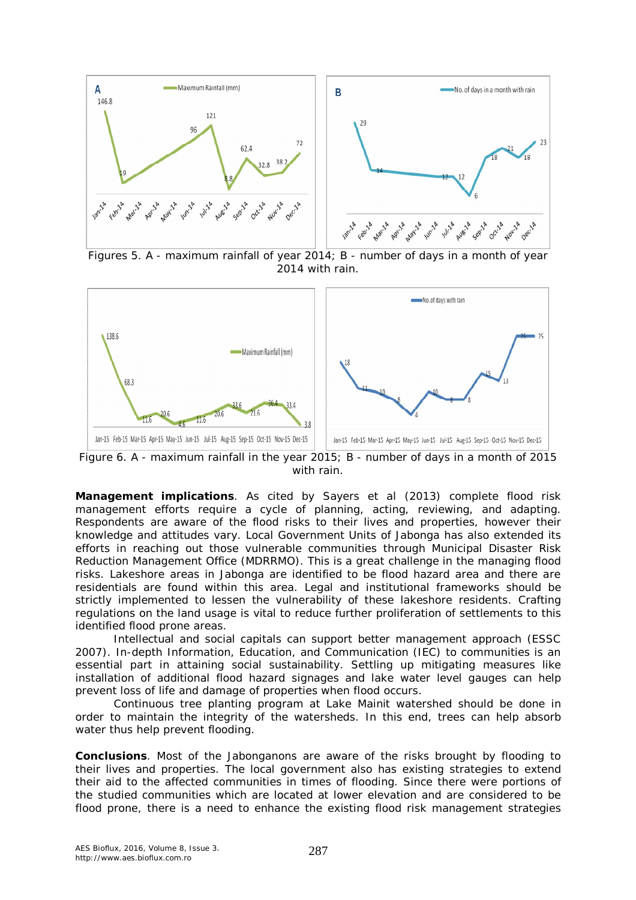

Figures 5. A - maximum rainfall of year 2014; B - number of days in a month of year 2014 with rain.



Figure 6. A - maximum rainfall in the year 2015; B - number of days in a month of 2015 with rain.

*Management implications.* As cited by Sayers et al (2013) complete flood risk management efforts require a cycle of planning, acting, reviewing, and adapting. Respondents are aware of the flood risks to their lives and properties, however their knowledge and attitudes vary. Local Government Units of Jabonga has also extended its efforts in reaching out those vulnerable communities through Municipal Disaster Risk Reduction Management Office (MDRRMO). This is a great challenge in the managing flood risks. Lakeshore areas in Jabonga are identified to be flood hazard area and there are residentials are found within this area. Legal and institutional frameworks should be strictly implemented to lessen the vulnerability of these lakeshore residents. Crafting regulations on the land usage is vital to reduce further proliferation of settlements to this identified flood prone areas.

Intellectual and social capitals can support better management approach (ESSC 2007). In-depth Information, Education, and Communication (IEC) to communities is an essential part in attaining social sustainability. Settling up mitigating measures like installation of additional flood hazard signages and lake water level gauges can help prevent loss of life and damage of properties when flood occurs.

Continuous tree planting program at Lake Mainit watershed should be done in order to maintain the integrity of the watersheds. In this end, trees can help absorb water thus help prevent flooding.

**Conclusions**. Most of the Jabonganons are aware of the risks brought by flooding to their lives and properties. The local government also has existing strategies to extend their aid to the affected communities in times of flooding. Since there were portions of the studied communities which are located at lower elevation and are considered to be flood prone, there is a need to enhance the existing flood risk management strategies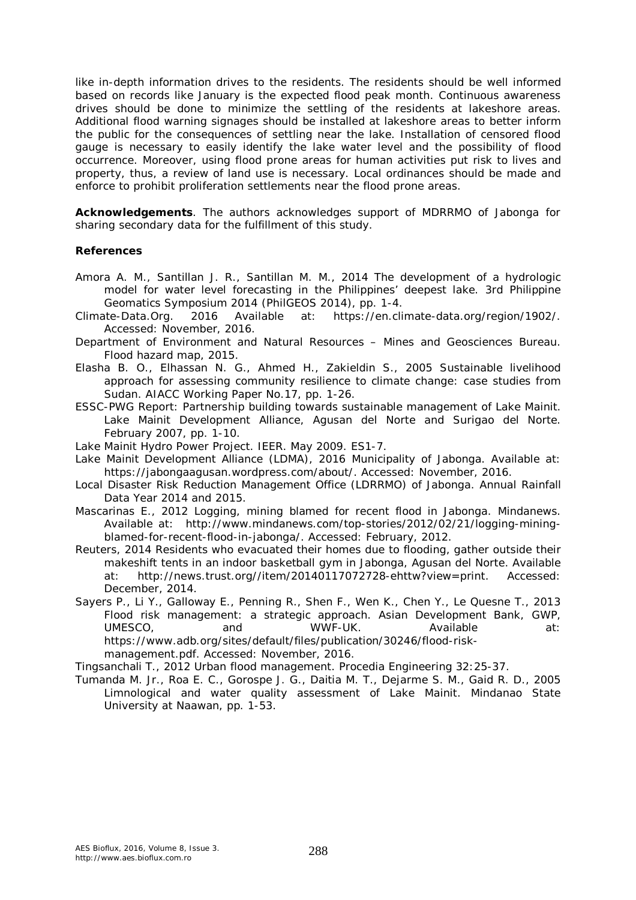like in-depth information drives to the residents. The residents should be well informed based on records like January is the expected flood peak month. Continuous awareness drives should be done to minimize the settling of the residents at lakeshore areas. Additional flood warning signages should be installed at lakeshore areas to better inform the public for the consequences of settling near the lake. Installation of censored flood gauge is necessary to easily identify the lake water level and the possibility of flood occurrence. Moreover, using flood prone areas for human activities put risk to lives and property, thus, a review of land use is necessary. Local ordinances should be made and enforce to prohibit proliferation settlements near the flood prone areas.

**Acknowledgements**. The authors acknowledges support of MDRRMO of Jabonga for sharing secondary data for the fulfillment of this study.

## **References**

- Amora A. M., Santillan J. R., Santillan M. M., 2014 The development of a hydrologic model for water level forecasting in the Philippines' deepest lake. 3rd Philippine Geomatics Symposium 2014 (PhilGEOS 2014), pp. 1-4.
- Climate-Data.Org. 2016 Available at: https://en.climate-data.org/region/1902/. Accessed: November, 2016.
- Department of Environment and Natural Resources Mines and Geosciences Bureau. Flood hazard map, 2015.
- Elasha B. O., Elhassan N. G., Ahmed H., Zakieldin S., 2005 Sustainable livelihood approach for assessing community resilience to climate change: case studies from Sudan. AIACC Working Paper No.17, pp. 1-26.
- ESSC-PWG Report: Partnership building towards sustainable management of Lake Mainit. Lake Mainit Development Alliance, Agusan del Norte and Surigao del Norte. February 2007, pp. 1-10.
- Lake Mainit Hydro Power Project. IEER. May 2009. ES1-7.
- Lake Mainit Development Alliance (LDMA), 2016 Municipality of Jabonga. Available at: https://jabongaagusan.wordpress.com/about/. Accessed: November, 2016.
- Local Disaster Risk Reduction Management Office (LDRRMO) of Jabonga. Annual Rainfall Data Year 2014 and 2015.
- Mascarinas E., 2012 Logging, mining blamed for recent flood in Jabonga. Mindanews. Available at: http://www.mindanews.com/top-stories/2012/02/21/logging-miningblamed-for-recent-flood-in-jabonga/. Accessed: February, 2012.
- Reuters, 2014 Residents who evacuated their homes due to flooding, gather outside their makeshift tents in an indoor basketball gym in Jabonga, Agusan del Norte. Available at: http://news.trust.org//item/20140117072728-ehttw?view=print. Accessed: December, 2014.
- Sayers P., Li Y., Galloway E., Penning R., Shen F., Wen K., Chen Y., Le Quesne T., 2013 Flood risk management: a strategic approach. Asian Development Bank, GWP,<br>FLIMESCO and WWF-LIK Available at a UMESCO, and MWF-UK. Available at: https://www.adb.org/sites/default/files/publication/30246/flood-riskmanagement.pdf. Accessed: November, 2016.

Tingsanchali T., 2012 Urban flood management. Procedia Engineering 32:25-37.

Tumanda M. Jr., Roa E. C., Gorospe J. G., Daitia M. T., Dejarme S. M., Gaid R. D., 2005 Limnological and water quality assessment of Lake Mainit. Mindanao State University at Naawan, pp. 1-53.